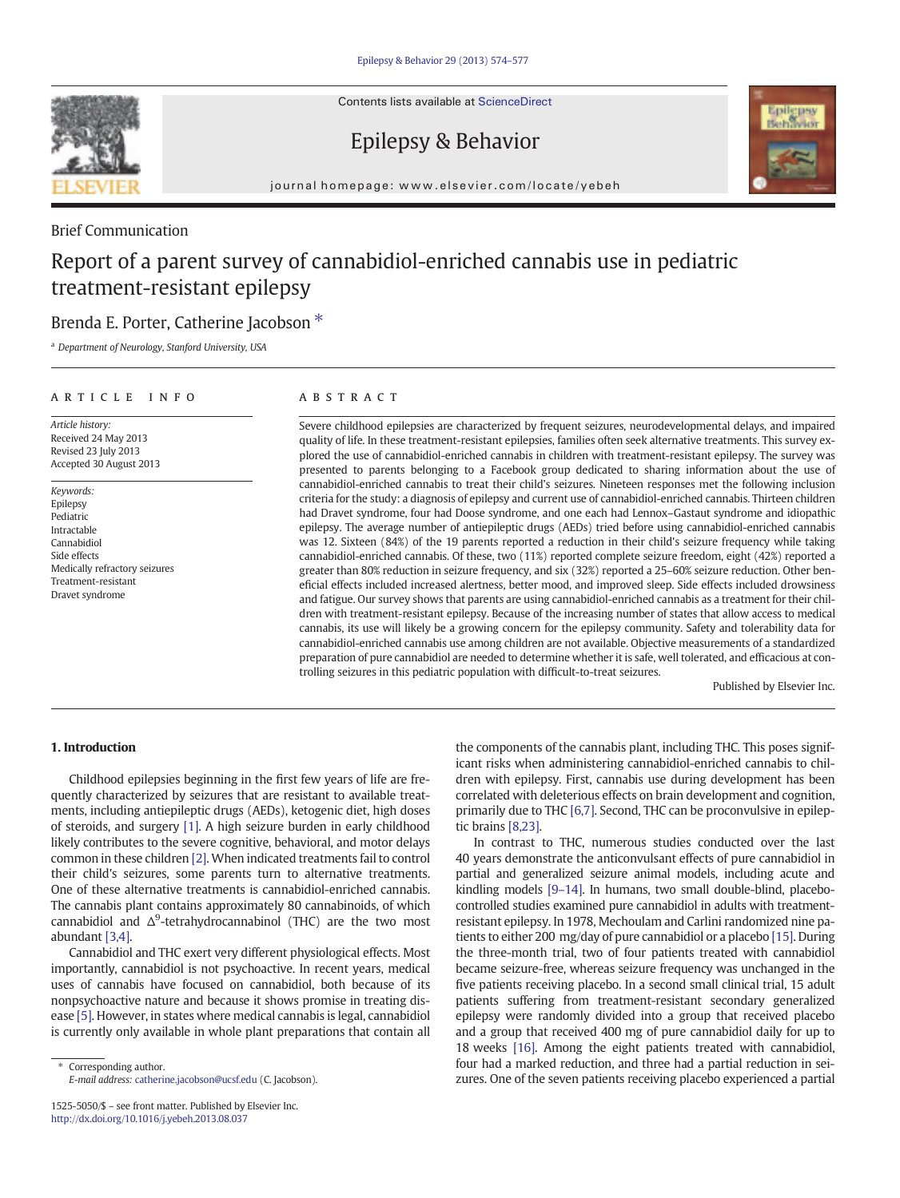Contents lists available at ScienceDirect

# Epilepsy & Behavior



journal homepage: www.elsevier.com/locate/yebeh

# Brief Communication

# Report of a parent survey of cannabidiol-enriched cannabis use in pediatric treatment-resistant epilepsy

# Brenda E. Porter, Catherine Jacobson<sup>\*</sup>

<sup>a</sup> *Department of Neurology, Stanford University, USA*

## article info abstract

*Article history:* Received 24 May 2013 Revised 23 July 2013 Accepted 30 August 2013

*Keywords:* Epilepsy Pediatric Intractable Cannabidiol Side effects Medically refractory seizures Treatment-resistant Dravet syndrome

Severe childhood epilepsies are characterized by frequent seizures, neurodevelopmental delays, and impaired quality of life. In these treatment-resistant epilepsies, families often seek alternative treatments. This survey explored the use of cannabidiol-enriched cannabis in children with treatment-resistant epilepsy. The survey was presented to parents belonging to a Facebook group dedicated to sharing information about the use of cannabidiol-enriched cannabis to treat their child's seizures. Nineteen responses met the following inclusion criteria for the study: a diagnosis of epilepsy and current use of cannabidiol-enriched cannabis. Thirteen children had Dravet syndrome, four had Doose syndrome, and one each had Lennox–Gastaut syndrome and idiopathic epilepsy. The average number of antiepileptic drugs (AEDs) tried before using cannabidiol-enriched cannabis was 12. Sixteen (84%) of the 19 parents reported a reduction in their child's seizure frequency while taking cannabidiol-enriched cannabis. Of these, two (11%) reported complete seizure freedom, eight (42%) reported a greater than 80% reduction in seizure frequency, and six (32%) reported a 25–60% seizure reduction. Other beneficial effects included increased alertness, better mood, and improved sleep. Side effects included drowsiness and fatigue. Our survey shows that parents are using cannabidiol-enriched cannabis as a treatment for their children with treatment-resistant epilepsy. Because of the increasing number of states that allow access to medical cannabis, its use will likely be a growing concern for the epilepsy community. Safety and tolerability data for cannabidiol-enriched cannabis use among children are not available. Objective measurements of a standardized preparation of pure cannabidiol are needed to determine whether it is safe, well tolerated, and efficacious at controlling seizures in this pediatric population with difficult-to-treat seizures.

Published by Elsevier Inc.

## 1. Introduction

Childhood epilepsies beginning in the first few years of life are frequently characterized by seizures that are resistant to available treatments, including antiepileptic drugs (AEDs), ketogenic diet, high doses of steroids, and surgery [1]. A high seizure burden in early childhood likely contributes to the severe cognitive, behavioral, and motor delays common in these children [2]. When indicated treatments fail to control their child's seizures, some parents turn to alternative treatments. One of these alternative treatments is cannabidiol-enriched cannabis. The cannabis plant contains approximately 80 cannabinoids, of which cannabidiol and  $\Delta^9$ -tetrahydrocannabinol (THC) are the two most abundant [3,4].

Cannabidiol and THC exert very different physiological effects. Most importantly, cannabidiol is not psychoactive. In recent years, medical uses of cannabis have focused on cannabidiol, both because of its nonpsychoactive nature and because it shows promise in treating disease [5]. However, in states where medical cannabis is legal, cannabidiol is currently only available in whole plant preparations that contain all

⁎ Corresponding author. *E-mail address:* catherine.jacobson@ucsf.edu (C. Jacobson). the components of the cannabis plant, including THC. This poses significant risks when administering cannabidiol-enriched cannabis to children with epilepsy. First, cannabis use during development has been correlated with deleterious effects on brain development and cognition, primarily due to THC [6,7]. Second, THC can be proconvulsive in epileptic brains [8,23].

In contrast to THC, numerous studies conducted over the last 40 years demonstrate the anticonvulsant effects of pure cannabidiol in partial and generalized seizure animal models, including acute and kindling models [9–14]. In humans, two small double-blind, placebocontrolled studies examined pure cannabidiol in adults with treatmentresistant epilepsy. In 1978, Mechoulam and Carlini randomized nine patients to either 200 mg/day of pure cannabidiol or a placebo [15]. During the three-month trial, two of four patients treated with cannabidiol became seizure-free, whereas seizure frequency was unchanged in the five patients receiving placebo. In a second small clinical trial, 15 adult patients suffering from treatment-resistant secondary generalized epilepsy were randomly divided into a group that received placebo and a group that received 400 mg of pure cannabidiol daily for up to 18 weeks [16]. Among the eight patients treated with cannabidiol, four had a marked reduction, and three had a partial reduction in seizures. One of the seven patients receiving placebo experienced a partial

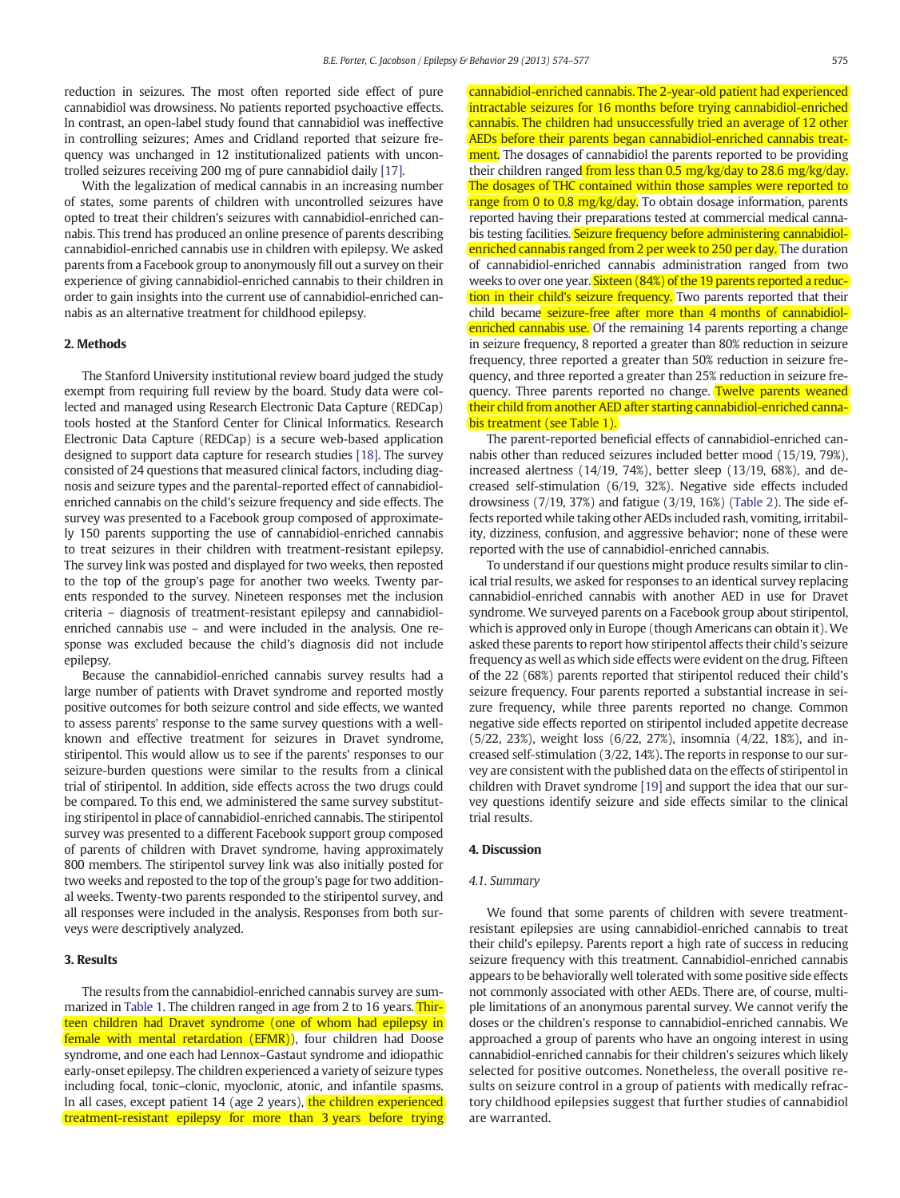reduction in seizures. The most often reported side effect of pure cannabidiol was drowsiness. No patients reported psychoactive effects. In contrast, an open-label study found that cannabidiol was ineffective in controlling seizures; Ames and Cridland reported that seizure frequency was unchanged in 12 institutionalized patients with uncontrolled seizures receiving 200 mg of pure cannabidiol daily [17].

With the legalization of medical cannabis in an increasing number of states, some parents of children with uncontrolled seizures have opted to treat their children's seizures with cannabidiol-enriched cannabis. This trend has produced an online presence of parents describing cannabidiol-enriched cannabis use in children with epilepsy. We asked parents from a Facebook group to anonymously fill out a survey on their experience of giving cannabidiol-enriched cannabis to their children in order to gain insights into the current use of cannabidiol-enriched cannabis as an alternative treatment for childhood epilepsy.

#### 2. Methods

The Stanford University institutional review board judged the study exempt from requiring full review by the board. Study data were collected and managed using Research Electronic Data Capture (REDCap) tools hosted at the Stanford Center for Clinical Informatics. Research Electronic Data Capture (REDCap) is a secure web-based application designed to support data capture for research studies [18]. The survey consisted of 24 questions that measured clinical factors, including diagnosis and seizure types and the parental-reported effect of cannabidiolenriched cannabis on the child's seizure frequency and side effects. The survey was presented to a Facebook group composed of approximately 150 parents supporting the use of cannabidiol-enriched cannabis to treat seizures in their children with treatment-resistant epilepsy. The survey link was posted and displayed for two weeks, then reposted to the top of the group's page for another two weeks. Twenty parents responded to the survey. Nineteen responses met the inclusion criteria – diagnosis of treatment-resistant epilepsy and cannabidiolenriched cannabis use – and were included in the analysis. One response was excluded because the child's diagnosis did not include epilepsy.

Because the cannabidiol-enriched cannabis survey results had a large number of patients with Dravet syndrome and reported mostly positive outcomes for both seizure control and side effects, we wanted to assess parents' response to the same survey questions with a wellknown and effective treatment for seizures in Dravet syndrome, stiripentol. This would allow us to see if the parents' responses to our seizure-burden questions were similar to the results from a clinical trial of stiripentol. In addition, side effects across the two drugs could be compared. To this end, we administered the same survey substituting stiripentol in place of cannabidiol-enriched cannabis. The stiripentol survey was presented to a different Facebook support group composed of parents of children with Dravet syndrome, having approximately 800 members. The stiripentol survey link was also initially posted for two weeks and reposted to the top of the group's page for two additional weeks. Twenty-two parents responded to the stiripentol survey, and all responses were included in the analysis. Responses from both surveys were descriptively analyzed.

#### 3. Results

The results from the cannabidiol-enriched cannabis survey are summarized in Table 1. The children ranged in age from 2 to 16 years. Thirteen children had Dravet syndrome (one of whom had epilepsy in female with mental retardation (EFMR)), four children had Doose syndrome, and one each had Lennox–Gastaut syndrome and idiopathic early-onset epilepsy. The children experienced a variety of seizure types including focal, tonic–clonic, myoclonic, atonic, and infantile spasms. In all cases, except patient 14 (age 2 years), the children experienced treatment-resistant epilepsy for more than 3 years before trying

cannabidiol-enriched cannabis. The 2-year-old patient had experienced intractable seizures for 16 months before trying cannabidiol-enriched cannabis. The children had unsuccessfully tried an average of 12 other AEDs before their parents began cannabidiol-enriched cannabis treatment. The dosages of cannabidiol the parents reported to be providing their children ranged from less than 0.5 mg/kg/day to 28.6 mg/kg/day. The dosages of THC contained within those samples were reported to range from 0 to 0.8 mg/kg/day. To obtain dosage information, parents reported having their preparations tested at commercial medical cannabis testing facilities. Seizure frequency before administering cannabidiolenriched cannabis ranged from 2 per week to 250 per day. The duration of cannabidiol-enriched cannabis administration ranged from two weeks to over one year. Sixteen (84%) of the 19 parents reported a reduction in their child's seizure frequency. Two parents reported that their child became seizure-free after more than 4 months of cannabidiolenriched cannabis use. Of the remaining 14 parents reporting a change in seizure frequency, 8 reported a greater than 80% reduction in seizure frequency, three reported a greater than 50% reduction in seizure frequency, and three reported a greater than 25% reduction in seizure frequency. Three parents reported no change. Twelve parents weaned their child from another AED after starting cannabidiol-enriched cannabis treatment (see Table 1).

The parent-reported beneficial effects of cannabidiol-enriched cannabis other than reduced seizures included better mood (15/19, 79%), increased alertness (14/19, 74%), better sleep (13/19, 68%), and decreased self-stimulation (6/19, 32%). Negative side effects included drowsiness (7/19, 37%) and fatigue (3/19, 16%) (Table 2). The side effects reported while taking other AEDs included rash, vomiting, irritability, dizziness, confusion, and aggressive behavior; none of these were reported with the use of cannabidiol-enriched cannabis.

To understand if our questions might produce results similar to clinical trial results, we asked for responses to an identical survey replacing cannabidiol-enriched cannabis with another AED in use for Dravet syndrome. We surveyed parents on a Facebook group about stiripentol, which is approved only in Europe (though Americans can obtain it). We asked these parents to report how stiripentol affects their child's seizure frequency as well as which side effects were evident on the drug. Fifteen of the 22 (68%) parents reported that stiripentol reduced their child's seizure frequency. Four parents reported a substantial increase in seizure frequency, while three parents reported no change. Common negative side effects reported on stiripentol included appetite decrease (5/22, 23%), weight loss (6/22, 27%), insomnia (4/22, 18%), and increased self-stimulation (3/22, 14%). The reports in response to our survey are consistent with the published data on the effects of stiripentol in children with Dravet syndrome [19] and support the idea that our survey questions identify seizure and side effects similar to the clinical trial results.

#### 4. Discussion

#### *4.1. Summary*

We found that some parents of children with severe treatmentresistant epilepsies are using cannabidiol-enriched cannabis to treat their child's epilepsy. Parents report a high rate of success in reducing seizure frequency with this treatment. Cannabidiol-enriched cannabis appears to be behaviorally well tolerated with some positive side effects not commonly associated with other AEDs. There are, of course, multiple limitations of an anonymous parental survey. We cannot verify the doses or the children's response to cannabidiol-enriched cannabis. We approached a group of parents who have an ongoing interest in using cannabidiol-enriched cannabis for their children's seizures which likely selected for positive outcomes. Nonetheless, the overall positive results on seizure control in a group of patients with medically refractory childhood epilepsies suggest that further studies of cannabidiol are warranted.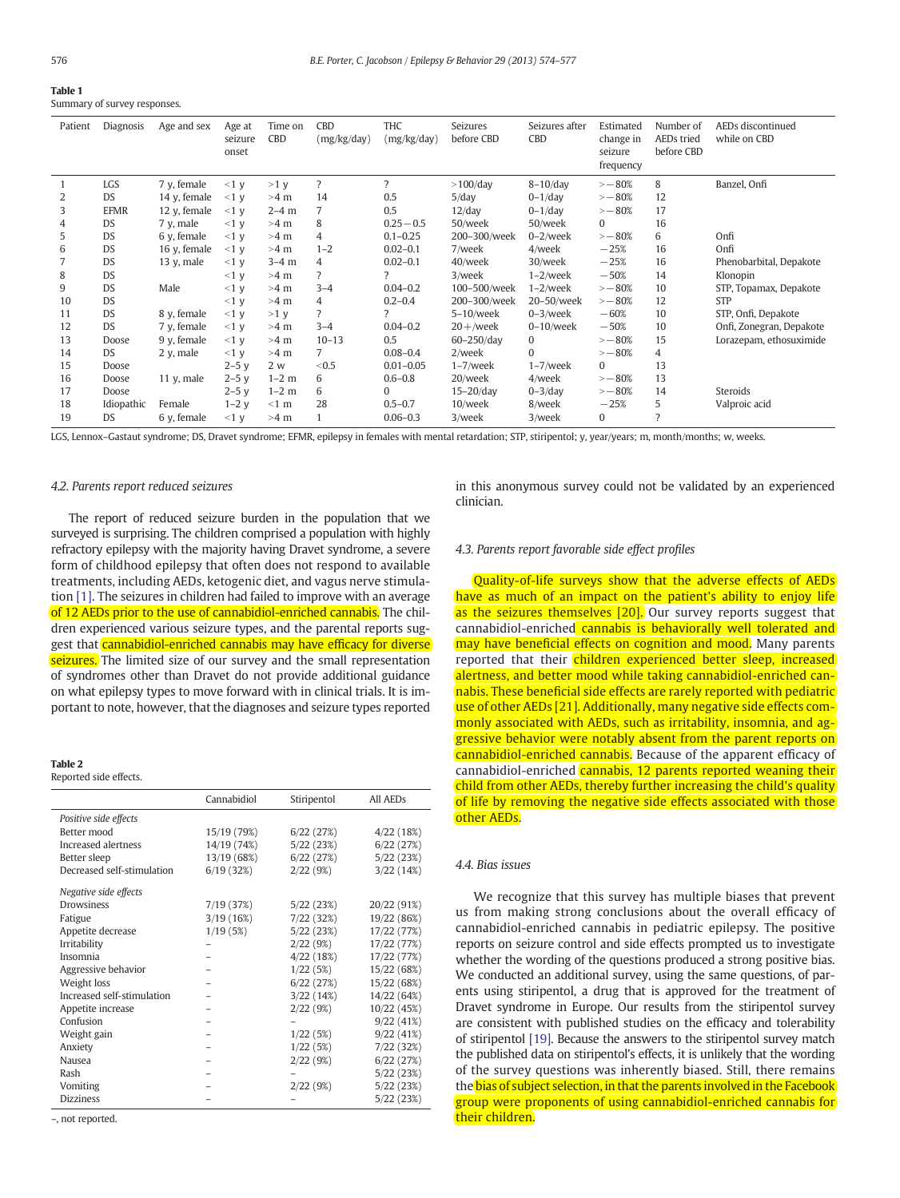#### Table 1 Summary of survey responses.

| Patient | Diagnosis   | Age and sex   | Age at<br>seizure<br>onset | Time on<br>CBD | CBD<br>(mg/kg/day)       | THC<br>(mg/kg/day) | Seizures<br>before CBD | Seizures after<br>CBD | Estimated<br>change in<br>seizure<br>frequency | Number of<br>AEDs tried<br>before CBD | AEDs discontinued<br>while on CBD |
|---------|-------------|---------------|----------------------------|----------------|--------------------------|--------------------|------------------------|-----------------------|------------------------------------------------|---------------------------------------|-----------------------------------|
|         | LGS         | 7 v, female   | $<1$ V                     | $>1$ v         | $\overline{\phantom{a}}$ | $\overline{?}$     | $>100$ /day            | $8-10$ /day           | $\sim -80%$                                    | 8                                     | Banzel, Onfi                      |
| 2       | <b>DS</b>   | 14 y, female  | $<1$ y                     | $>4$ m         | 14                       | 0.5                | $5$ /day               | $0-1$ /day            | $\sim -80%$                                    | 12                                    |                                   |
| 3       | <b>EFMR</b> | 12 y, female  | $<1$ V                     | $2-4$ m        | 7                        | 0.5                | $12$ /day              | $0-1$ /day            | $\sim -80%$                                    | 17                                    |                                   |
| 4       | <b>DS</b>   | 7 y, male     | <1 y                       | $>4$ m         | 8                        | $0.25 - 0.5$       | 50/week                | 50/week               | $\mathbf{0}$                                   | 16                                    |                                   |
| 5       | DS          | 6 y, female   | $<1$ v                     | >4 m           | 4                        | $0.1 - 0.25$       | 200-300/week           | $0 - 2$ /week         | $\sim -80%$                                    | 6                                     | Onfi                              |
| 6       | <b>DS</b>   | 16 y, female  | $<1$ V                     | $>4$ m         | $1 - 2$                  | $0.02 - 0.1$       | 7/week                 | 4/week                | $-25%$                                         | 16                                    | Onfi                              |
|         | DS          | 13 y, male    | <1 y                       | $3-4$ m        | 4                        | $0.02 - 0.1$       | 40/week                | 30/week               | $-25%$                                         | 16                                    | Phenobarbital, Depakote           |
| 8       | DS          |               | <1 y                       | >4 m           | 7                        | 2                  | 3/week                 | $1-2$ /week           | $-50%$                                         | 14                                    | Klonopin                          |
| 9       | DS          | Male          | <1 y                       | >4 m           | $3 - 4$                  | $0.04 - 0.2$       | 100-500/week           | $1-2$ /week           | $\sim -80%$                                    | 10                                    | STP, Topamax, Depakote            |
| 10      | DS          |               | <1 y                       | >4 m           | 4                        | $0.2 - 0.4$        | 200-300/week           | 20-50/week            | $\sim -80%$                                    | 12                                    | <b>STP</b>                        |
| 11      | DS          | 8 y, female   | <1 y                       | >1 y           | $\overline{\phantom{a}}$ | 2                  | $5-10$ /week           | $0-3$ /week           | $-60%$                                         | 10                                    | STP, Onfi, Depakote               |
| 12      | DS          | 7 y, female   | <1 y                       | >4 m           | $3 - 4$                  | $0.04 - 0.2$       | $20 +$ /week           | $0-10$ /week          | $-50%$                                         | 10                                    | Onfi, Zonegran, Depakote          |
| 13      | Doose       | 9 y, female   | $<1$ V                     | >4 m           | $10 - 13$                | 0.5                | $60 - 250$ /day        | $\bf{0}$              | $\sim -80%$                                    | 15                                    | Lorazepam, ethosuximide           |
| 14      | <b>DS</b>   | $2 y$ , male  | $<1$ V                     | >4 m           | 7                        | $0.08 - 0.4$       | 2/week                 | $\Omega$              | $\sim -80%$                                    | $\overline{4}$                        |                                   |
| 15      | Doose       |               | $2-5$ v                    | 2 w            | < 0.5                    | $0.01 - 0.05$      | $1-7$ /week            | $1-7$ /week           | $\mathbf{0}$                                   | 13                                    |                                   |
| 16      | Doose       | 11 $v$ , male | $2-5y$                     | $1-2$ m        | 6                        | $0.6 - 0.8$        | 20/week                | 4/week                | $\sim -80%$                                    | 13                                    |                                   |
| 17      | Doose       |               | $2-5y$                     | $1-2$ m        | 6                        | $\Omega$           | $15-20$ /day           | $0 - 3$ /day          | $\sim -80%$                                    | 14                                    | Steroids                          |
| 18      | Idiopathic  | Female        | $1-2y$                     | $<1$ m         | 28                       | $0.5 - 0.7$        | $10$ /week             | 8/week                | $-25%$                                         | 5                                     | Valproic acid                     |
| 19      | <b>DS</b>   | 6 y, female   | <1 y                       | >4 m           |                          | $0.06 - 0.3$       | 3/week                 | 3/week                | 0                                              | 7                                     |                                   |

LGS, Lennox–Gastaut syndrome; DS, Dravet syndrome; EFMR, epilepsy in females with mental retardation; STP, stiripentol; y, year/years; m, month/months; w, weeks.

#### *4.2. Parents report reduced seizures*

The report of reduced seizure burden in the population that we surveyed is surprising. The children comprised a population with highly refractory epilepsy with the majority having Dravet syndrome, a severe form of childhood epilepsy that often does not respond to available treatments, including AEDs, ketogenic diet, and vagus nerve stimulation [1]. The seizures in children had failed to improve with an average of 12 AEDs prior to the use of cannabidiol-enriched cannabis. The children experienced various seizure types, and the parental reports suggest that cannabidiol-enriched cannabis may have efficacy for diverse seizures. The limited size of our survey and the small representation of syndromes other than Dravet do not provide additional guidance on what epilepsy types to move forward with in clinical trials. It is important to note, however, that the diagnoses and seizure types reported

#### Table 2

#### Reported side effects.

|                            | Cannabidiol | Stiripentol | All AED <sub>s</sub> |
|----------------------------|-------------|-------------|----------------------|
| Positive side effects      |             |             |                      |
| Better mood                | 15/19 (79%) | 6/22(27%)   | 4/22 (18%)           |
| Increased alertness        | 14/19 (74%) | 5/22(23%)   | 6/22(27%)            |
| Better sleep               | 13/19 (68%) | 6/22 (27%)  | 5/22(23%)            |
| Decreased self-stimulation | 6/19(32%)   | 2/22(9%)    | 3/22(14%)            |
| Negative side effects      |             |             |                      |
| <b>Drowsiness</b>          | 7/19 (37%)  | 5/22 (23%)  | 20/22 (91%)          |
| Fatigue                    | 3/19(16%)   | 7/22 (32%)  | 19/22 (86%)          |
| Appetite decrease          | 1/19(5%)    | 5/22(23%)   | 17/22 (77%)          |
| Irritability               |             | 2/22(9%)    | 17/22 (77%)          |
| Insomnia                   |             | 4/22(18%)   | 17/22 (77%)          |
| Aggressive behavior        |             | 1/22(5%)    | 15/22 (68%)          |
| Weight loss                |             | 6/22(27%)   | 15/22 (68%)          |
| Increased self-stimulation |             | 3/22(14%)   | 14/22 (64%)          |
| Appetite increase          |             | 2/22(9%)    | 10/22 (45%)          |
| Confusion                  |             |             | 9/22(41%)            |
| Weight gain                |             | 1/22(5%)    | 9/22(41%)            |
| Anxiety                    |             | 1/22(5%)    | 7/22 (32%)           |
| Nausea                     |             | 2/22(9%)    | 6/22(27%)            |
| Rash                       |             |             | 5/22 (23%)           |
| Vomiting                   |             | 2/22(9%)    | 5/22 (23%)           |
| <b>Dizziness</b>           |             |             | 5/22 (23%)           |

–, not reported.

in this anonymous survey could not be validated by an experienced clinician.

#### *4.3. Parents report favorable side effect pro*fi*les*

Quality-of-life surveys show that the adverse effects of AEDs have as much of an impact on the patient's ability to enjoy life as the seizures themselves [20]. Our survey reports suggest that cannabidiol-enriched cannabis is behaviorally well tolerated and may have beneficial effects on cognition and mood. Many parents reported that their children experienced better sleep, increased alertness, and better mood while taking cannabidiol-enriched cannabis. These beneficial side effects are rarely reported with pediatric use of other AEDs [21]. Additionally, many negative side effects commonly associated with AEDs, such as irritability, insomnia, and aggressive behavior were notably absent from the parent reports on cannabidiol-enriched cannabis. Because of the apparent efficacy of cannabidiol-enriched cannabis, 12 parents reported weaning their child from other AEDs, thereby further increasing the child's quality of life by removing the negative side effects associated with those other AEDs.

#### *4.4. Bias issues*

We recognize that this survey has multiple biases that prevent us from making strong conclusions about the overall efficacy of cannabidiol-enriched cannabis in pediatric epilepsy. The positive reports on seizure control and side effects prompted us to investigate whether the wording of the questions produced a strong positive bias. We conducted an additional survey, using the same questions, of parents using stiripentol, a drug that is approved for the treatment of Dravet syndrome in Europe. Our results from the stiripentol survey are consistent with published studies on the efficacy and tolerability of stiripentol [19]. Because the answers to the stiripentol survey match the published data on stiripentol's effects, it is unlikely that the wording of the survey questions was inherently biased. Still, there remains the bias of subject selection, in that the parents involved in the Facebook group were proponents of using cannabidiol-enriched cannabis for their children.